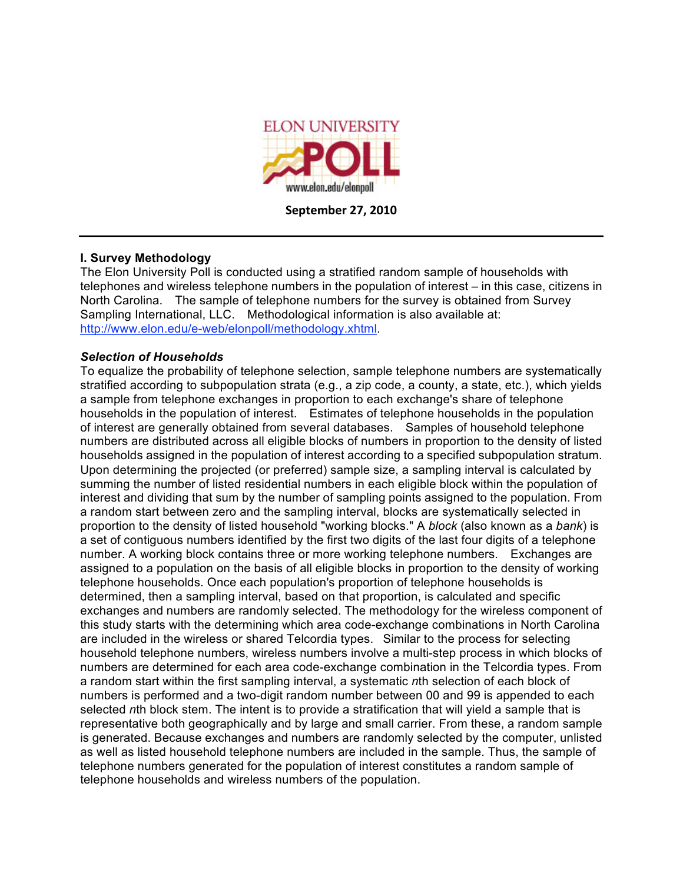

**September
27,
2010**

## **I. Survey Methodology**

The Elon University Poll is conducted using a stratified random sample of households with telephones and wireless telephone numbers in the population of interest – in this case, citizens in North Carolina. The sample of telephone numbers for the survey is obtained from Survey Sampling International, LLC. Methodological information is also available at: http://www.elon.edu/e-web/elonpoll/methodology.xhtml.

## *Selection of Households*

To equalize the probability of telephone selection, sample telephone numbers are systematically stratified according to subpopulation strata (e.g., a zip code, a county, a state, etc.), which yields a sample from telephone exchanges in proportion to each exchange's share of telephone households in the population of interest. Estimates of telephone households in the population of interest are generally obtained from several databases. Samples of household telephone numbers are distributed across all eligible blocks of numbers in proportion to the density of listed households assigned in the population of interest according to a specified subpopulation stratum. Upon determining the projected (or preferred) sample size, a sampling interval is calculated by summing the number of listed residential numbers in each eligible block within the population of interest and dividing that sum by the number of sampling points assigned to the population. From a random start between zero and the sampling interval, blocks are systematically selected in proportion to the density of listed household "working blocks." A *block* (also known as a *bank*) is a set of contiguous numbers identified by the first two digits of the last four digits of a telephone number. A working block contains three or more working telephone numbers. Exchanges are assigned to a population on the basis of all eligible blocks in proportion to the density of working telephone households. Once each population's proportion of telephone households is determined, then a sampling interval, based on that proportion, is calculated and specific exchanges and numbers are randomly selected. The methodology for the wireless component of this study starts with the determining which area code-exchange combinations in North Carolina are included in the wireless or shared Telcordia types. Similar to the process for selecting household telephone numbers, wireless numbers involve a multi-step process in which blocks of numbers are determined for each area code-exchange combination in the Telcordia types. From a random start within the first sampling interval, a systematic *n*th selection of each block of numbers is performed and a two-digit random number between 00 and 99 is appended to each selected *n*th block stem. The intent is to provide a stratification that will yield a sample that is representative both geographically and by large and small carrier. From these, a random sample is generated. Because exchanges and numbers are randomly selected by the computer, unlisted as well as listed household telephone numbers are included in the sample. Thus, the sample of telephone numbers generated for the population of interest constitutes a random sample of telephone households and wireless numbers of the population.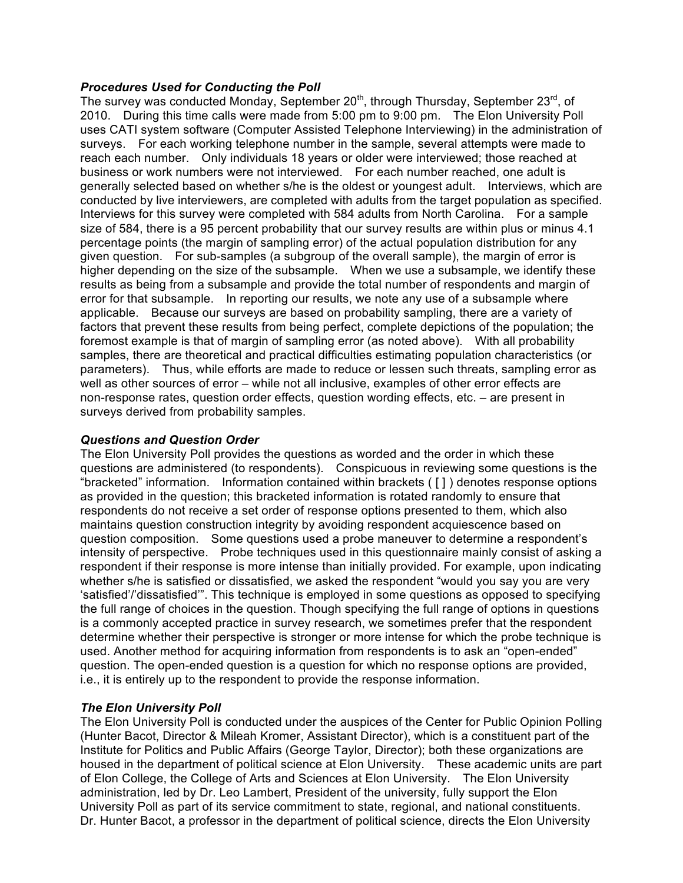## *Procedures Used for Conducting the Poll*

The survey was conducted Monday, September 20<sup>th</sup>, through Thursday, September 23<sup>rd</sup>, of 2010. During this time calls were made from 5:00 pm to 9:00 pm. The Elon University Poll uses CATI system software (Computer Assisted Telephone Interviewing) in the administration of surveys. For each working telephone number in the sample, several attempts were made to reach each number. Only individuals 18 years or older were interviewed; those reached at business or work numbers were not interviewed. For each number reached, one adult is generally selected based on whether s/he is the oldest or youngest adult. Interviews, which are conducted by live interviewers, are completed with adults from the target population as specified. Interviews for this survey were completed with 584 adults from North Carolina. For a sample size of 584, there is a 95 percent probability that our survey results are within plus or minus 4.1 percentage points (the margin of sampling error) of the actual population distribution for any given question. For sub-samples (a subgroup of the overall sample), the margin of error is higher depending on the size of the subsample. When we use a subsample, we identify these results as being from a subsample and provide the total number of respondents and margin of error for that subsample. In reporting our results, we note any use of a subsample where applicable. Because our surveys are based on probability sampling, there are a variety of factors that prevent these results from being perfect, complete depictions of the population; the foremost example is that of margin of sampling error (as noted above). With all probability samples, there are theoretical and practical difficulties estimating population characteristics (or parameters). Thus, while efforts are made to reduce or lessen such threats, sampling error as well as other sources of error – while not all inclusive, examples of other error effects are non-response rates, question order effects, question wording effects, etc. – are present in surveys derived from probability samples.

# *Questions and Question Order*

The Elon University Poll provides the questions as worded and the order in which these questions are administered (to respondents). Conspicuous in reviewing some questions is the "bracketed" information. Information contained within brackets ( [ ] ) denotes response options as provided in the question; this bracketed information is rotated randomly to ensure that respondents do not receive a set order of response options presented to them, which also maintains question construction integrity by avoiding respondent acquiescence based on question composition. Some questions used a probe maneuver to determine a respondent's intensity of perspective. Probe techniques used in this questionnaire mainly consist of asking a respondent if their response is more intense than initially provided. For example, upon indicating whether s/he is satisfied or dissatisfied, we asked the respondent "would you say you are very 'satisfied'/'dissatisfied'". This technique is employed in some questions as opposed to specifying the full range of choices in the question. Though specifying the full range of options in questions is a commonly accepted practice in survey research, we sometimes prefer that the respondent determine whether their perspective is stronger or more intense for which the probe technique is used. Another method for acquiring information from respondents is to ask an "open-ended" question. The open-ended question is a question for which no response options are provided, i.e., it is entirely up to the respondent to provide the response information.

#### *The Elon University Poll*

The Elon University Poll is conducted under the auspices of the Center for Public Opinion Polling (Hunter Bacot, Director & Mileah Kromer, Assistant Director), which is a constituent part of the Institute for Politics and Public Affairs (George Taylor, Director); both these organizations are housed in the department of political science at Elon University. These academic units are part of Elon College, the College of Arts and Sciences at Elon University. The Elon University administration, led by Dr. Leo Lambert, President of the university, fully support the Elon University Poll as part of its service commitment to state, regional, and national constituents. Dr. Hunter Bacot, a professor in the department of political science, directs the Elon University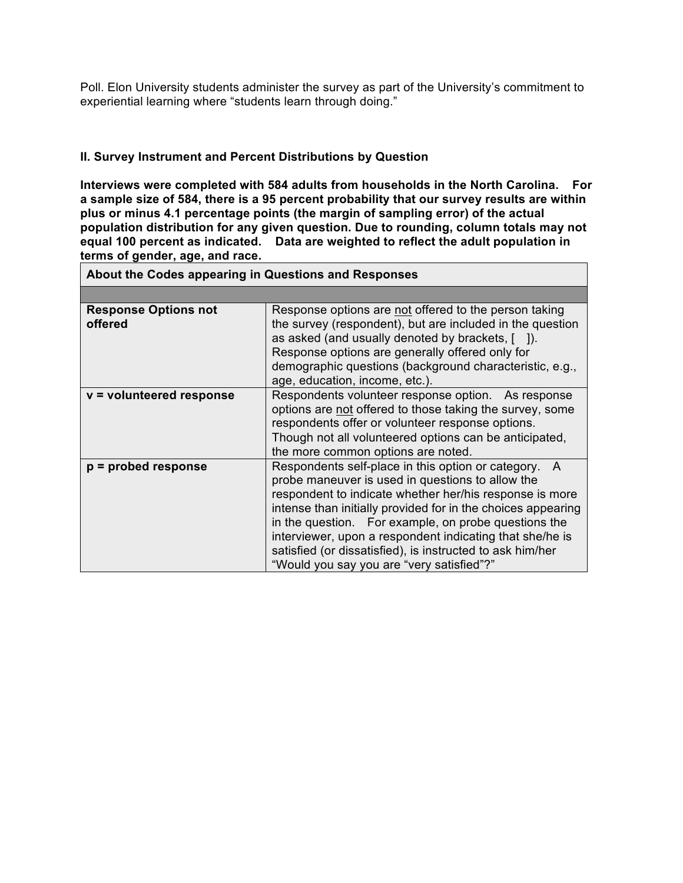Poll. Elon University students administer the survey as part of the University's commitment to experiential learning where "students learn through doing."

# **II. Survey Instrument and Percent Distributions by Question**

**Interviews were completed with 584 adults from households in the North Carolina. For a sample size of 584, there is a 95 percent probability that our survey results are within plus or minus 4.1 percentage points (the margin of sampling error) of the actual population distribution for any given question. Due to rounding, column totals may not equal 100 percent as indicated. Data are weighted to reflect the adult population in terms of gender, age, and race.**

| About the Codes appearing in Questions and Responses |                                                                                                                                                                                                                                                                                                                                                                                                                                                                      |  |  |
|------------------------------------------------------|----------------------------------------------------------------------------------------------------------------------------------------------------------------------------------------------------------------------------------------------------------------------------------------------------------------------------------------------------------------------------------------------------------------------------------------------------------------------|--|--|
|                                                      |                                                                                                                                                                                                                                                                                                                                                                                                                                                                      |  |  |
| <b>Response Options not</b><br>offered               | Response options are not offered to the person taking<br>the survey (respondent), but are included in the question<br>as asked (and usually denoted by brackets, [ ]).<br>Response options are generally offered only for<br>demographic questions (background characteristic, e.g.,<br>age, education, income, etc.).                                                                                                                                               |  |  |
| v = volunteered response                             | Respondents volunteer response option. As response<br>options are not offered to those taking the survey, some<br>respondents offer or volunteer response options.<br>Though not all volunteered options can be anticipated,<br>the more common options are noted.                                                                                                                                                                                                   |  |  |
| $p =$ probed response                                | Respondents self-place in this option or category.<br>A<br>probe maneuver is used in questions to allow the<br>respondent to indicate whether her/his response is more<br>intense than initially provided for in the choices appearing<br>in the question. For example, on probe questions the<br>interviewer, upon a respondent indicating that she/he is<br>satisfied (or dissatisfied), is instructed to ask him/her<br>"Would you say you are "very satisfied"?" |  |  |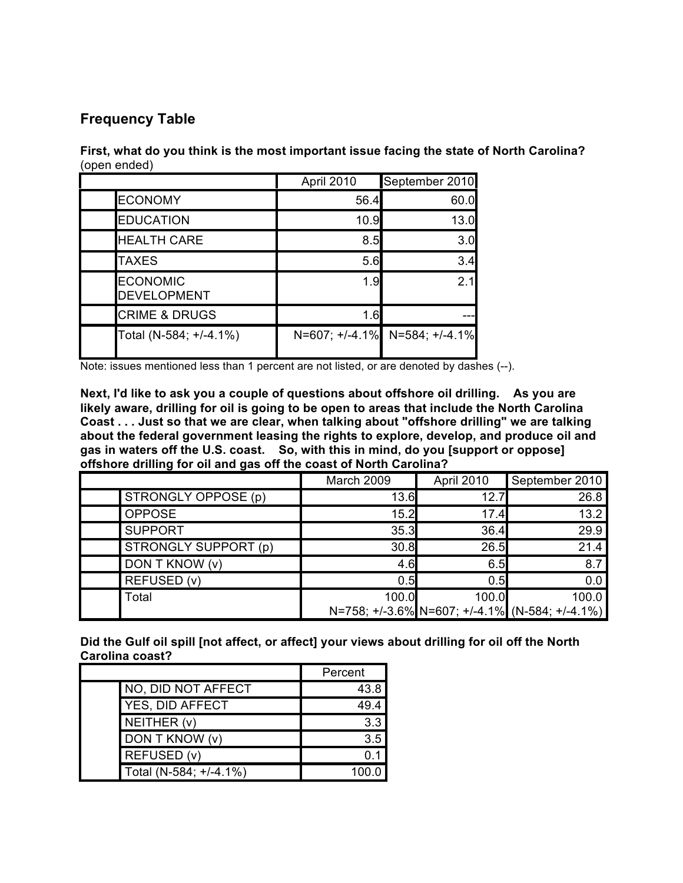# **Frequency Table**

**First, what do you think is the most important issue facing the state of North Carolina?** (open ended)

|                                       | April 2010 | September 2010                |
|---------------------------------------|------------|-------------------------------|
| <b>ECONOMY</b>                        | 56.4       | 60.0                          |
| <b>EDUCATION</b>                      | 10.9       | 13.0                          |
| <b>HEALTH CARE</b>                    | 8.5        | 3.0                           |
| <b>TAXES</b>                          | 5.6        | 3.4                           |
| <b>ECONOMIC</b><br><b>DEVELOPMENT</b> | 1.9        | 21                            |
| <b>CRIME &amp; DRUGS</b>              | 1.6        |                               |
| Total (N-584; +/-4.1%)                |            | N=607; +/-4.1% N=584; +/-4.1% |

Note: issues mentioned less than 1 percent are not listed, or are denoted by dashes (--).

**Next, I'd like to ask you a couple of questions about offshore oil drilling. As you are likely aware, drilling for oil is going to be open to areas that include the North Carolina Coast . . . Just so that we are clear, when talking about "offshore drilling" we are talking about the federal government leasing the rights to explore, develop, and produce oil and gas in waters off the U.S. coast. So, with this in mind, do you [support or oppose] offshore drilling for oil and gas off the coast of North Carolina?**

|                      | March 2009 | April 2010 | September 2010                                 |
|----------------------|------------|------------|------------------------------------------------|
| STRONGLY OPPOSE (p)  | 13.6       | 12.7       | 26.8                                           |
| <b>OPPOSE</b>        | 15.2       | 17.4       | 13.2                                           |
| <b>SUPPORT</b>       | 35.3       | 36.4       | 29.9                                           |
| STRONGLY SUPPORT (p) | 30.8       | 26.5       | 21.4                                           |
| DON T KNOW (v)       | 4.6        | 6.5        | 8.7                                            |
| REFUSED (v)          | 0.5        | 0.5        | 0.0                                            |
| Total                | 100.0      | 100.0      | 100.0                                          |
|                      |            |            | N=758; +/-3.6% N=607; +/-4.1% (N-584; +/-4.1%) |

**Did the Gulf oil spill [not affect, or affect] your views about drilling for oil off the North Carolina coast?**

|                        | Percent |
|------------------------|---------|
| NO, DID NOT AFFECT     | 43.8    |
| YES, DID AFFECT        | 49.4    |
| NEITHER (v)            | 3.3     |
| DON T KNOW (v)         | 3.5     |
| REFUSED (v)            |         |
| Total (N-584; +/-4.1%) |         |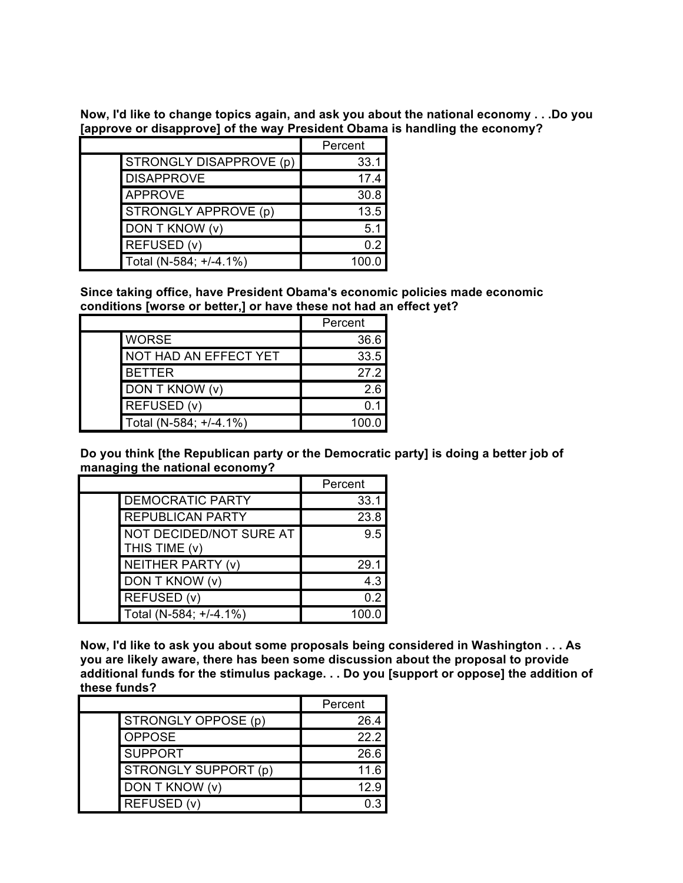**Now, I'd like to change topics again, and ask you about the national economy . . .Do you [approve or disapprove] of the way President Obama is handling the economy?**

|                         | Percent |
|-------------------------|---------|
| STRONGLY DISAPPROVE (p) | 33.1    |
| <b>DISAPPROVE</b>       | 17.4    |
| <b>APPROVE</b>          | 30.8    |
| STRONGLY APPROVE (p)    | 13.5    |
| DON T KNOW (v)          | 5.1     |
| REFUSED (v)             | 0.2     |
| Total (N-584; +/-4.1%)  | 100.0   |

**Since taking office, have President Obama's economic policies made economic conditions [worse or better,] or have these not had an effect yet?**

|                        | Percent |
|------------------------|---------|
| <b>WORSE</b>           | 36.6    |
| NOT HAD AN EFFECT YET  | 33.5    |
| <b>BETTER</b>          | 27.2    |
| DON T KNOW (v)         | 2.6     |
| REFUSED (v)            |         |
| Total (N-584; +/-4.1%) | 100.0   |

**Do you think [the Republican party or the Democratic party] is doing a better job of managing the national economy?**

|                                          | Percent |
|------------------------------------------|---------|
| <b>DEMOCRATIC PARTY</b>                  | 33.1    |
| <b>REPUBLICAN PARTY</b>                  | 23.8    |
| NOT DECIDED/NOT SURE AT<br>THIS TIME (v) | 9.5     |
| <b>NEITHER PARTY (v)</b>                 | 29.1    |
| DON T KNOW (v)                           | 4.3     |
| REFUSED (v)                              | 0.2     |
| Total (N-584; +/-4.1%)                   |         |

**Now, I'd like to ask you about some proposals being considered in Washington . . . As you are likely aware, there has been some discussion about the proposal to provide additional funds for the stimulus package. . . Do you [support or oppose] the addition of these funds?**

|                      | Percent |
|----------------------|---------|
| STRONGLY OPPOSE (p)  | 26.4    |
| <b>OPPOSE</b>        | 222     |
| <b>SUPPORT</b>       | 26.6    |
| STRONGLY SUPPORT (p) | 11.6    |
| DON T KNOW (v)       | 12.9    |
| REFUSED (v)          |         |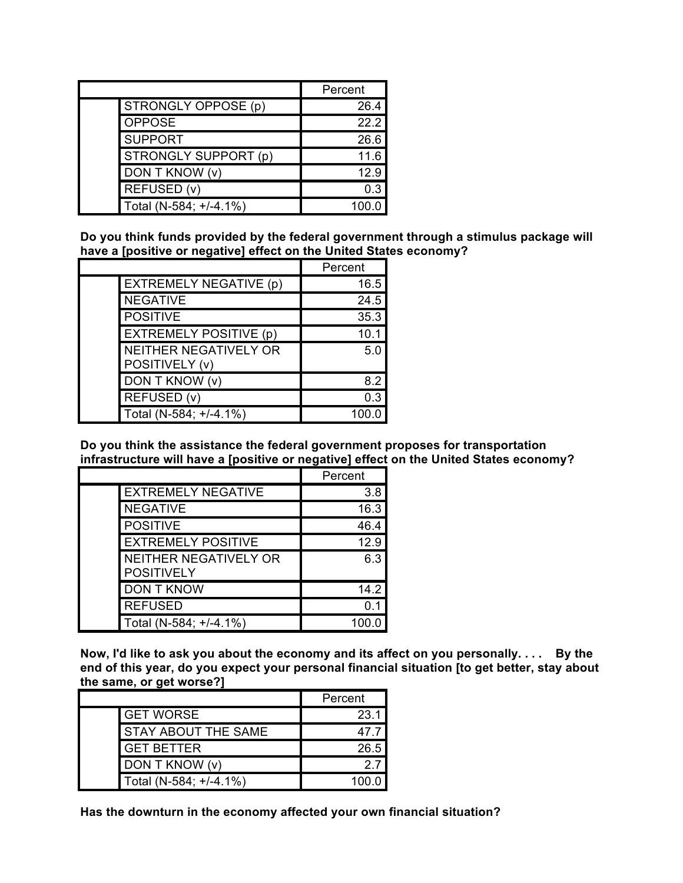|                        | Percent |
|------------------------|---------|
| STRONGLY OPPOSE (p)    | 26.4    |
| <b>OPPOSE</b>          | 22.2    |
| <b>SUPPORT</b>         | 26.6    |
| STRONGLY SUPPORT (p)   | 11.6    |
| DON T KNOW (v)         | 12.9    |
| REFUSED (v)            | 0.3     |
| Total (N-584; +/-4.1%) |         |

**Do you think funds provided by the federal government through a stimulus package will have a [positive or negative] effect on the United States economy?**

|                                                | Percent |
|------------------------------------------------|---------|
| <b>EXTREMELY NEGATIVE (p)</b>                  | 16.5    |
| <b>NEGATIVE</b>                                | 24.5    |
| <b>POSITIVE</b>                                | 35.3    |
| <b>EXTREMELY POSITIVE (p)</b>                  | 10.1    |
| <b>NEITHER NEGATIVELY OR</b><br>POSITIVELY (v) | 5.0     |
| DON T KNOW (v)                                 | 8.2     |
| REFUSED (v)                                    | 0.3     |
| Total (N-584; +/-4.1%)                         | 100.0   |

**Do you think the assistance the federal government proposes for transportation infrastructure will have a [positive or negative] effect on the United States economy?**

|                                            | Percent |
|--------------------------------------------|---------|
| <b>EXTREMELY NEGATIVE</b>                  | 3.8     |
| <b>NEGATIVE</b>                            | 16.3    |
| <b>POSITIVE</b>                            | 46.4    |
| <b>EXTREMELY POSITIVE</b>                  | 12.9    |
| NEITHER NEGATIVELY OR<br><b>POSITIVELY</b> | 6.3     |
| <b>DON T KNOW</b>                          | 14.2    |
| <b>REFUSED</b>                             | 0.      |
| Total (N-584; +/-4.1%)                     | 100.    |

Now, I'd like to ask you about the economy and its affect on you personally.... By the **end of this year, do you expect your personal financial situation [to get better, stay about the same, or get worse?]**

|                            | Percent |
|----------------------------|---------|
| <b>GET WORSE</b>           | 23.1    |
| <b>STAY ABOUT THE SAME</b> | 47 7    |
| <b>GET BETTER</b>          | 26.5    |
| DON T KNOW (v)             | 27      |
| Total (N-584; +/-4.1%)     | 100 O   |

**Has the downturn in the economy affected your own financial situation?**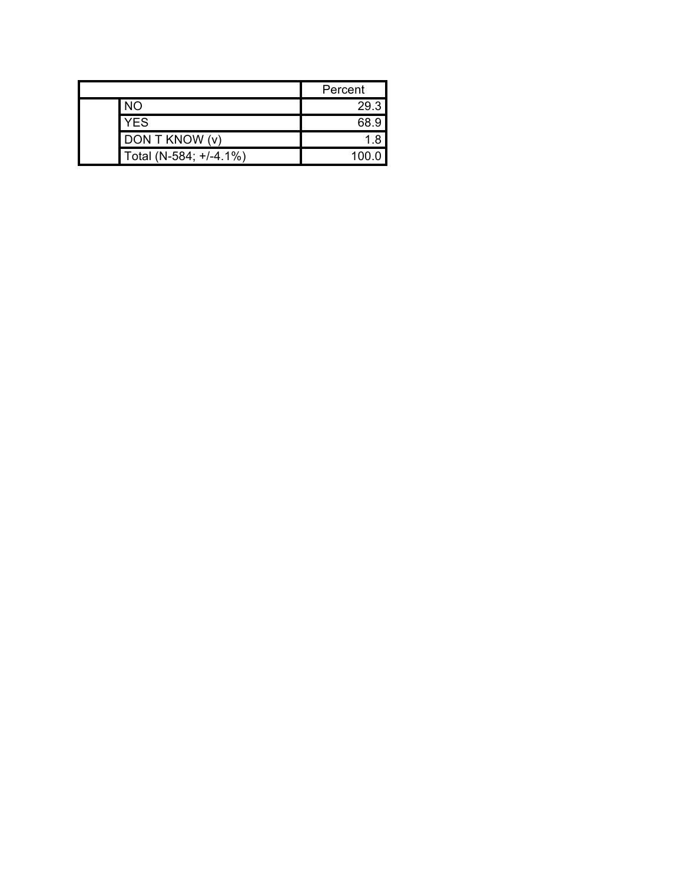|  |                        | Percent |
|--|------------------------|---------|
|  | <b>NO</b>              | 29.3    |
|  | YES                    | 68.9    |
|  | DON T KNOW (v)         |         |
|  | Total (N-584; +/-4.1%) | 100.0   |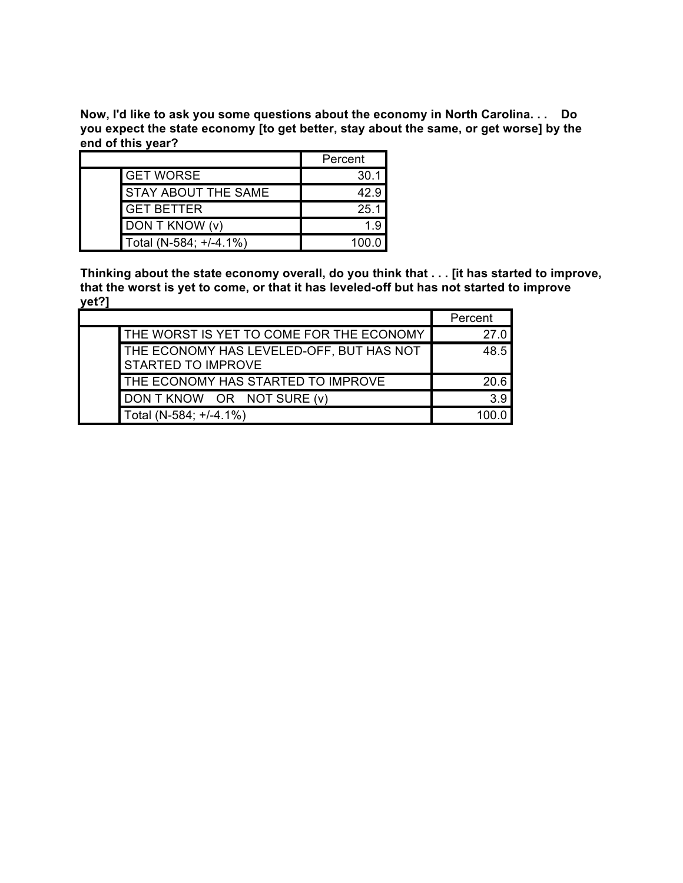**Now, I'd like to ask you some questions about the economy in North Carolina. . . Do you expect the state economy [to get better, stay about the same, or get worse] by the end of this year?**

|                            | Percent |
|----------------------------|---------|
| <b>GET WORSE</b>           | 30.1    |
| <b>STAY ABOUT THE SAME</b> | 42.9    |
| <b>GET BETTER</b>          | 25.1    |
| DON T KNOW (v)             | 19      |
| Total (N-584; +/-4.1%)     |         |

**Thinking about the state economy overall, do you think that . . . [it has started to improve, that the worst is yet to come, or that it has leveled-off but has not started to improve yet?]**

|                                                                | Percent |
|----------------------------------------------------------------|---------|
| THE WORST IS YET TO COME FOR THE ECONOMY                       | 27 O    |
| THE ECONOMY HAS LEVELED-OFF, BUT HAS NOT<br>STARTED TO IMPROVE | 48.5    |
| THE ECONOMY HAS STARTED TO IMPROVE                             | 20.6    |
| DON T KNOW OR NOT SURE (v)                                     | 39      |
| Total (N-584; +/-4.1%)                                         |         |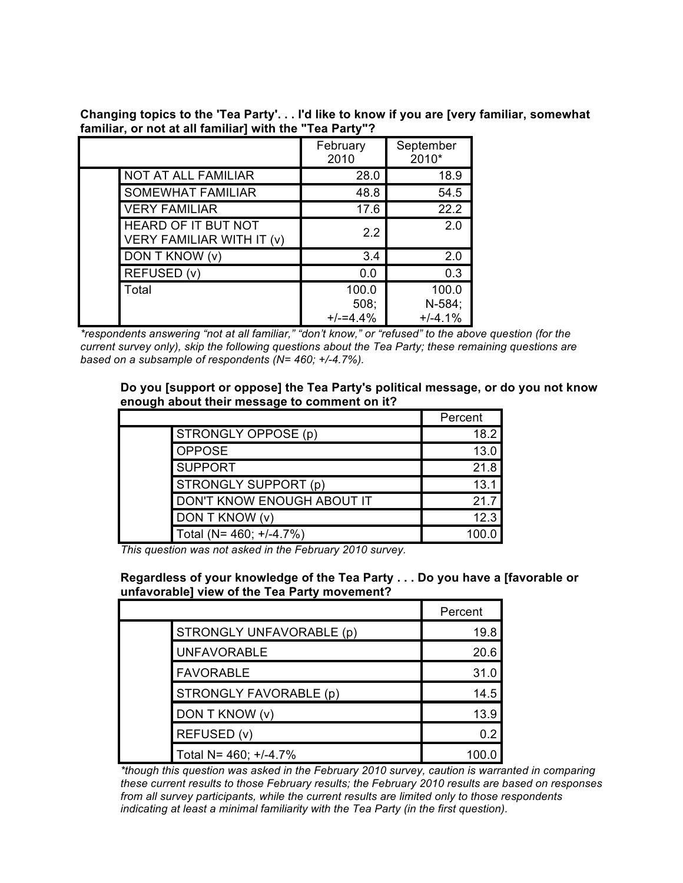**Changing topics to the 'Tea Party'. . . I'd like to know if you are [very familiar, somewhat familiar, or not at all familiar] with the "Tea Party"?**

|                                                         | February<br>2010            | September<br>2010*           |
|---------------------------------------------------------|-----------------------------|------------------------------|
| <b>NOT AT ALL FAMILIAR</b>                              | 28.0                        | 18.9                         |
| <b>SOMEWHAT FAMILIAR</b>                                | 48.8                        | 54.5                         |
| <b>VERY FAMILIAR</b>                                    | 17.6                        | 22.2                         |
| <b>HEARD OF IT BUT NOT</b><br>VERY FAMILIAR WITH IT (v) | 2.2                         | 2.0                          |
| DON T KNOW (v)                                          | 3.4                         | 2.0                          |
| REFUSED (v)                                             | 0.0                         | 0.3                          |
| Total                                                   | 100.0<br>508;<br>$+/-=4.4%$ | 100.0<br>N-584;<br>$+/-4.1%$ |

*\*respondents answering "not at all familiar," "don't know," or "refused" to the above question (for the current survey only), skip the following questions about the Tea Party; these remaining questions are based on a subsample of respondents (N= 460; +/-4.7%).*

#### **Do you [support or oppose] the Tea Party's political message, or do you not know enough about their message to comment on it?**

|                            | Percent |
|----------------------------|---------|
| STRONGLY OPPOSE (p)        | 18.2    |
| <b>OPPOSE</b>              | 13.0    |
| <b>SUPPORT</b>             | 21.8    |
| STRONGLY SUPPORT (p)       | 13.1    |
| DON'T KNOW ENOUGH ABOUT IT | 21.7    |
| DON T KNOW (v)             | 12.3    |
| Total (N= 460; +/-4.7%)    | 100     |

*This question was not asked in the February 2010 survey.*

**Regardless of your knowledge of the Tea Party . . . Do you have a [favorable or unfavorable] view of the Tea Party movement?**

|                          | Percent |
|--------------------------|---------|
| STRONGLY UNFAVORABLE (p) | 19.8    |
| <b>UNFAVORABLE</b>       | 20.6    |
| <b>FAVORABLE</b>         | 31.0    |
| STRONGLY FAVORABLE (p)   | 14.5    |
| DON T KNOW (v)           | 13.9    |
| REFUSED (v)              | 0.2     |
| Total N= 460; +/-4.7%    |         |

*\*though this question was asked in the February 2010 survey, caution is warranted in comparing these current results to those February results; the February 2010 results are based on responses from all survey participants, while the current results are limited only to those respondents indicating at least a minimal familiarity with the Tea Party (in the first question).*